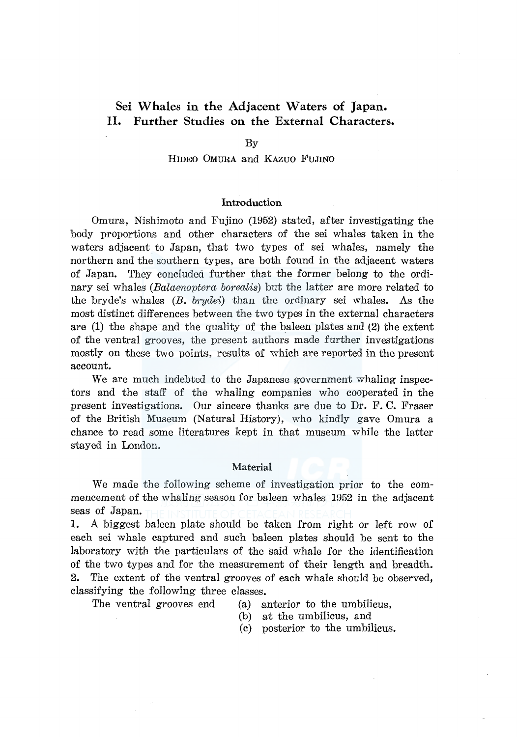# **Sei Whales in the Adjacent Waters of Japan. II. Further Studies on the External Characters.**

#### By

# HIDEO OMURA and KAZUO FUJINO

# **Introduction**

Omura, Nishimoto and Fujino (1952) stated, after investigating the body proportions and other characters of the sei whales taken in the waters adjacent to Japan, that two types of sei whales, namely the northern and the southern types, are both found in the adjacent waters of Japan. They concluded further that the former belong to the ordinary sei whales *(Balaenoptera borealis)* but the latter are more related to the bryde's whales *(B. brydei)* than the ordinary sei whales. As the most distinct differences between the two types in the external characters are (1) the shape and the quality of the baleen plates and (2) the extent of the ventral grooves, the present authors made further investigations mostly on these two points, results of which are reported in the present account.

We are much indebted to the Japanese government whaling inspectors and the staff of the whaling companies who cooperated in the present investigations. Our sincere thanks are due to Dr. F. C. Fraser of the British Museum (Natural History), who kindly gave Omura a chance to read some literatures kept in that museum while the latter stayed in London.

## **Material**

We made the following scheme of investigation prior to the commencement of the whaling season for baleen whales 1952 in the adjacent seas of Japan.

**1.** A biggest baleen plate should be taken from right or left row of each sei whale captured and such baleen plates should be sent to the laboratory with the particulars of the said whale for the identification of the two types and for the measurement of their length and breadth. 2. The extent of the ventral grooves of each whale should be observed, classifying the following three classes.

- The ventral grooves end (a) anterior to the umbilicus,
	- (b) at the umbilicus, and
	- (c) posterior to the umbilicus.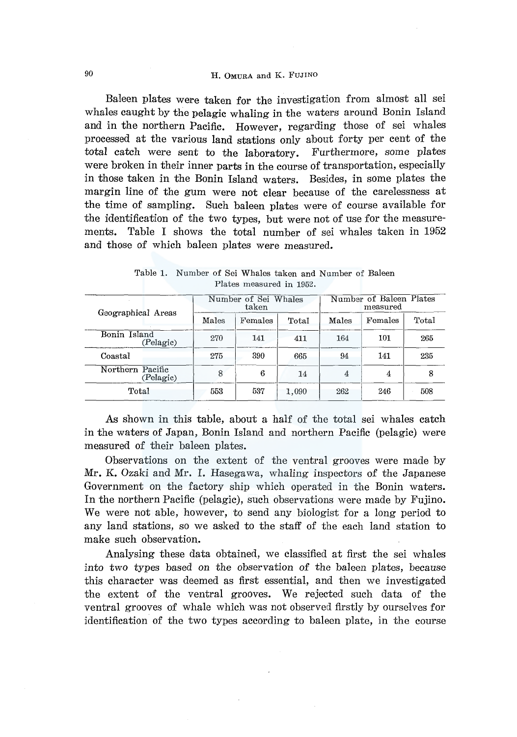# 90 H. OMURA and K. FUJINO

Baleen plates were taken for the investigation from almost all sei whales caught by the pelagic whaling in the waters around Bonin Island and in the northern Pacific. However, regarding those of sei whales processed at the various land stations only about forty per cent of the total catch were sent to the laboratory. Furthermore, some plates were broken in their inner parts in the course of transportation, especially in those taken in the Bonin Island waters. Besides, in some plates the margin line of the gum were not clear because of the carelessness at the time of sampling. Such baleen plates were of course available for the identification of the two types, but were not of use for the measurements. Table I shows the total number of sei whales taken in 1952 and those of which baleen plates were measured.

| Geographical Areas            |       | Number of Sei Whales<br>taken |       | Number of Baleen Plates<br>measured |         |       |  |
|-------------------------------|-------|-------------------------------|-------|-------------------------------------|---------|-------|--|
|                               | Males | Females                       | Total | Males                               | Females | Total |  |
| Bonin Island<br>(Pelagic)     | 270   | 141                           | 411   | 164                                 | 101     | 265   |  |
| Coastal                       | 275   | 390                           | 665   | 94                                  | 141     | 235   |  |
| Northern Pacific<br>(Pelagic) | 8     | 6                             | 14    | 4                                   | 4       | 8     |  |
| Total                         | 553   | 537                           | 1,090 | 262                                 | 246     | 508   |  |

Table 1. Number of Sei Whales taken and Number of Baleen Plates measured in 1952.

As shown in this table, about a half of the total sei whales catch in the waters of Japan, Bonin Island and northern Pacific (pelagic) were measured of their baleen plates.

Observations on the extent of the ventral grooves were made by Mr. K. Ozaki and Mr. I. Hasegawa, whaling inspectors of the Japanese Government on the factory ship which operated in the Bonin waters. In the northern Pacific (pelagic), such observations were made by Fujino. We were not able, however, to send any biologist for a long period to any land stations, so we asked to the staff of the each land station to make such observation.

Analysing these data obtained, we classified at first the sei whales into two types based on the observation of the baleen plates, because this character was deemed as first essential, and then we investigated the extent of the ventral grooves. We rejected such data of the ventral grooves of whale which was not observed firstly by ourselves for identification of the two types according to baleen plate, in the course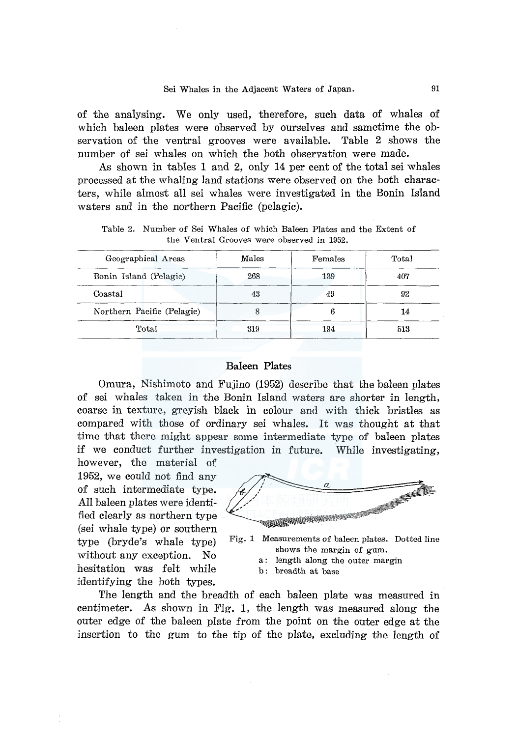of the analysing. We only used, therefore, such data of whales of which baleen plates were observed by ourselves and sametime the observation of the ventral grooves were available. Table 2 shows the number of sei whales on which the both observation were made.

As shown in tables 1 and 2, only 14 per cent of the total sei whales processed at the whaling land stations were observed on the both characters, while almost all sei whales were investigated in the Bonin Island waters and in the northern Pacific (pelagic).

Table 2. Number of Sei Whales of which Baleen Plates and the Extent of the Ventral Grooves were observed in 1952.

| Geographical Areas         | Males | Females | Total |
|----------------------------|-------|---------|-------|
| Bonin Island (Pelagic)     | 268   | 139     | 407   |
| Coastal                    | 43    | 49      | 92    |
| Northern Pacific (Pelagic) |       |         | 14    |
| Total                      | 319   | 194     | 513   |

## **Baleen Plates**

Omura, Nishimoto and Fujino (1952) describe that the baleen plates of sei whales taken in the Bonin Island waters are shorter in length, coarse in texture, greyish black in colour and with thick bristles as compared with those of ordinary sei whales. It was thought at that time that there might appear some intermediate type of baleen plates if we conduct further investigation in future. While investigating,

however, the material of 1952, we could not find any of such intermediate type. All baleen plates were identified clearly as northern type (sei whale type) or southern type (bryde's whale type) without any exception. No hesitation was felt while identifying the both types.



Fig. 1 Measurements of baleen plates. Dotted line shows the margin of gum.

- a: length along the outer margin
- b: breadth at base

The length and the breadth of each baleen plate was measured in centimeter. As shown in Fig. 1, the length was measured along the outer edge of the baleen plate from the point on the outer edge at the insertion to the gum to the tip of the plate, excluding the length of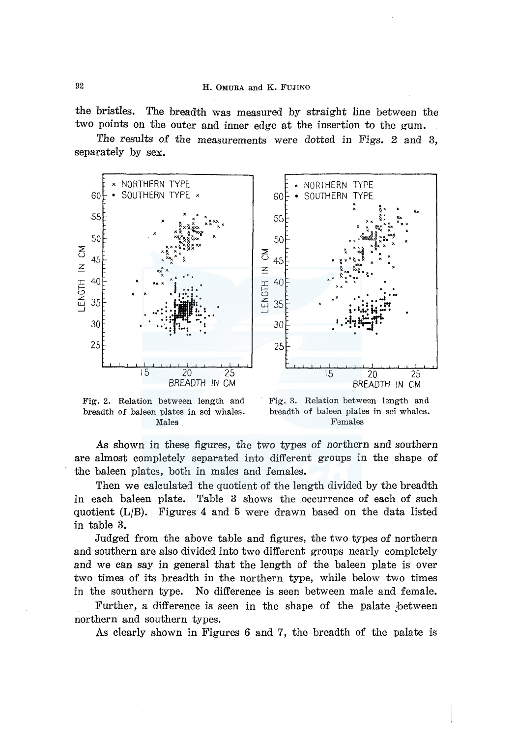the bristles. The breadth was measured by straight line between the two points on the outer and inner edge at the insertion to the gum.

The results of the measurements were dotted in Figs. 2 and 3, separately by sex.



Fig. 2. Relation between length and breadth of baleen plates in sei whales. Males

Fig. 3. Relation between length and breadth of baleen plates in sei whales. Females

*As* shown in these figures, the two types of northern and southern are almost completely separated into different groups in the shape of the baleen plates, both in males and females.

Then we calculated the quotient of the length divided by the breadth in each baleen plate. Table 3 shows the occurrence of each of such quotient **(L/B).** Figures 4 and 5 were drawn based on the data listed in table 3.

Judged from the above table and figures, the two types of northern and southern are also divided into two different groups nearly completely and we can say in general that the length of the baleen plate is over two times of its breadth in the northern type, while below two times in the southern type. No difference is seen between male and female.

Further, a difference is seen in the shape of the palate between northern and southern types.

*As* clearly shown in Figures 6 and 7, the breadth of the palate is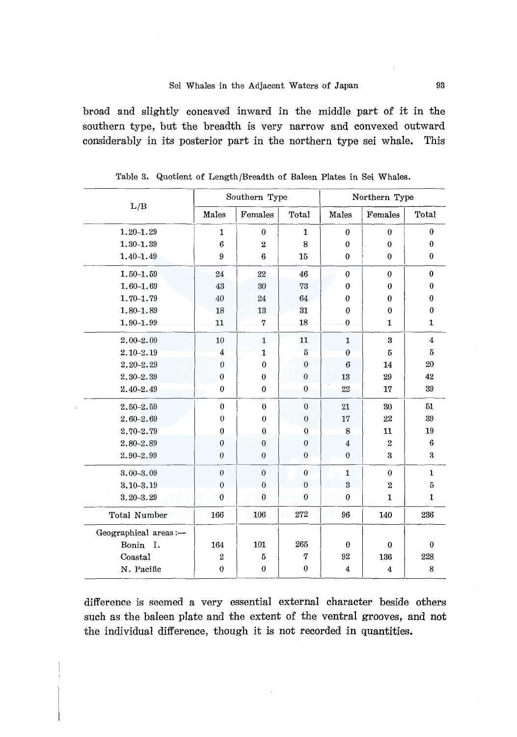broad and slightly concaved inward in the middle part of it in the southern type, but the breadth is very narrow and convexed outward considerably in its posterior part in the northern type sei whale. This

|                      |                  | Southern Type    |                  | Northern Type             |                         |                    |  |
|----------------------|------------------|------------------|------------------|---------------------------|-------------------------|--------------------|--|
| L/B                  | Males            | Females          | Total            | Males                     | Females                 | <b>Total</b>       |  |
| $1.20 - 1.29$        | 1                | $\bf{0}$         | $\mathbf{1}$     | $\mathbf{0}$              | $\theta$                | $\boldsymbol{0}$   |  |
| $1,30 - 1,39$        | 6                | $\overline{2}$   | 8                | $\boldsymbol{0}$          | $\bf{0}$                | $\bf{0}$           |  |
| $1.40 - 1.49$        | 9                | 6                | 15               | $\mathbf{0}$              | $\theta$                | $\mathbf 0$        |  |
| $1.50 - 1.59$        | 24               | 22               | 46               | $\boldsymbol{0}$          | $\theta$                | $\bf{0}$           |  |
| $1.60 - 1.69$        | 43               | 30               | 73               | $\boldsymbol{0}$          | 0                       | $\bf{0}$           |  |
| $1.70 - 1.79$        | 40               | 24               | 64<br>31<br>18   | 0<br>$\bf{0}$<br>$\theta$ | 0                       | 0<br>$\bf{0}$<br>1 |  |
| $1.80 - 1.89$        | 18               | 13               |                  |                           | $\bf{0}$                |                    |  |
| $1.90 - 1.99$        | 11               | 7                |                  |                           | 1                       |                    |  |
| $2.00 - 2.09$        | 10               | $\mathbf{1}$     | 11               | 1                         | 3                       | 4                  |  |
| $2.10 - 2.19$        | $\overline{4}$   | 1                | $\overline{5}$   | $\bf{0}$                  | 5                       | 5                  |  |
| $2, 20 - 2, 29$      | $\theta$         | $\theta$         | $\theta$         | 6                         | 14                      | 20                 |  |
| $2,30-2,39$          | $\boldsymbol{0}$ | $\bf{0}$         | $\theta$         | 13                        | 29                      | 42                 |  |
| $2.40 - 2.49$        | $\theta$         | $\theta$         | $\mathbf{0}$     | 22                        | 17                      | 39                 |  |
| $2.50 - 2.59$        | $\boldsymbol{0}$ | $\bf{0}$         | $\boldsymbol{0}$ | 21                        | 30                      | 51                 |  |
| 2.60-2.69            | $\boldsymbol{0}$ | $\boldsymbol{0}$ | $\boldsymbol{0}$ | 17                        | 22                      | 39                 |  |
| 2.70-2.79            | $\boldsymbol{0}$ | $\theta$         | $\theta$         | 8                         | 11                      | 19                 |  |
| 2.80-2.89            | $\boldsymbol{0}$ | $\theta$         | $\theta$         | $\bf{4}$                  | $\overline{2}$          | 6                  |  |
| $2,90 - 2.99$        | $\theta$         | $\theta$         | $\theta$         | $\boldsymbol{0}$          | $\overline{\mathbf{3}}$ | 3                  |  |
| $3.00 - 3.09$        | $\theta$         | $\overline{0}$   | $\mathbf{0}$     | 1                         | $\mathbf{0}$            | $\mathbf{1}$       |  |
| $3.10 - 3.19$        | $\theta$         | $\theta$         | $\theta$         | $\overline{3}$            | $\overline{2}$          | 5                  |  |
| 3.20-3.29            | $\boldsymbol{0}$ | $\bf{0}$         | $\bf{0}$         | $\boldsymbol{0}$          | $\mathbf{1}$            | $\mathbf{I}$       |  |
| Total Number         | 166              | 106              | 272              | 96                        | 140                     | 236                |  |
| Geographical areas:- |                  |                  |                  |                           |                         |                    |  |
| Bonin<br>Ι.          | 164              | 101              | 265              | $\boldsymbol{0}$          | $\bf{0}$                | $\boldsymbol{0}$   |  |
| Coastal              | $\rm 2$          | 5                | 7                | 92                        | 136                     | 228                |  |
| N. Pacific           | $\boldsymbol{0}$ | $\bf{0}$         | $\bf{0}$         | 4                         | 4                       | 8                  |  |

Table 3. Quotient of Length/Breadth of Baleen Plates in Sei Whales.

difference is seemed a very essential external character beside others such as the baleen plate and the extent of the ventral grooves, and not the individual difference, though it is not recorded in quantities.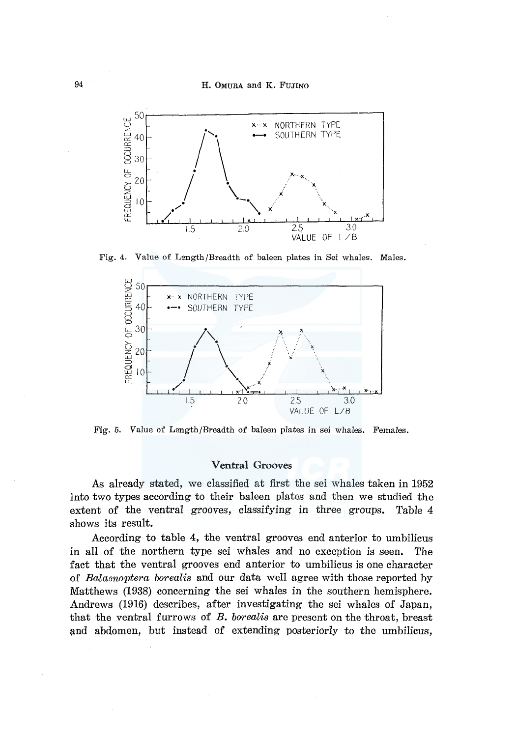

Fig. 4. Value of Length/Breadth of baleen plates in Sei whales. Males.



Fig. 5. Value of Length/Breadth of baleen plates in sei whales. Females.

## **Ventral** Grooves

As already stated, we classified at first the sei whales taken in 1952 into two types according to their baleen plates and then we studied the extent of the ventral grooves, classifying in three groups. Table 4 shows its result.

According to table 4, the ventral grooves end anterior to umbilicus in all of the northern type sei whales and no exception is seen. The fact that the ventral grooves end anterior to umbilicus is one character of *Balaenoptera borealis* and our data well agree with those reported by Matthews (1938) concerning the sei whales in the southern hemisphere. Andrews (1916) describes, after investigating the sei whales of Japan, that the ventral furrows of *B. borealis* are present on the throat, breast and abdomen, but instead of extending posteriorly to the umbilicus,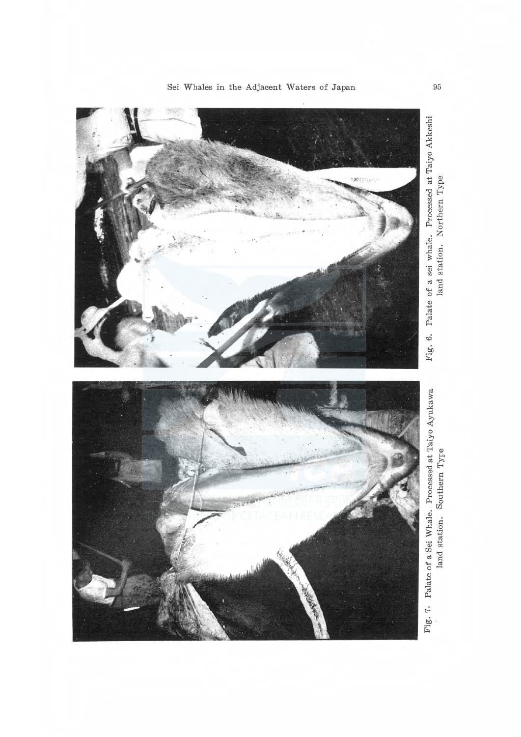

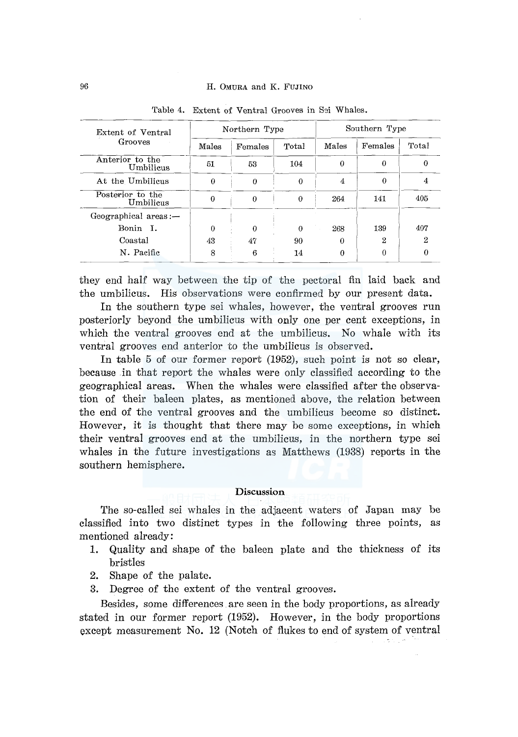## 96 H. OMURA and K. FUJINO

| Extent of Ventral             |       | Northern Type |          | Southern Type |         |       |  |
|-------------------------------|-------|---------------|----------|---------------|---------|-------|--|
| Grooves                       | Males | Females       | Total    | Males         | Females | Total |  |
| Anterior to the<br>Umbilicus  | 51    | 53            | 104      | 0             | 0       | 0     |  |
| At the Umbilicus              | 0     | 0             | 0        | 4             | 0       |       |  |
| Posterior to the<br>Umbilicus |       | 0             | $\Omega$ | 264           | 141     | 405   |  |
| $Geographical$ areas: $-$     |       |               |          |               |         |       |  |
| Bonin I.                      | 0     | 0             | $\Omega$ | 268           | 139     | 407   |  |
| Coastal                       | 43    | 47            | 90.      | $\Omega$      | 2       | 2     |  |
| N. Pacific                    | 8     | 6             | 14       | 0             |         |       |  |

Table 4. Extent of Ventral Grooves in S9i Whales.

they end half way between the tip of the pectoral fin laid back and the umbilicus. His observations were confirmed by our present data.

In the southern type sei whales, however, the ventral grooves run posteriorly beyond the umbilicus with only one per cent exceptions, in which the ventral grooves end at the umbilicus. No whale with its ventral grooves end anterior to the umbilicus is observed.

In table 5 of our former report (1952), such point is not so clear, because in that report the whales were only classified according to the geographical areas. When the whales were classified after the observation of their baleen plates, as mentioned above, the relation between the end of the ventral grooves and the umbilicus become so distinct. However, it is thought that there may be some exceptions, in which their ventral grooves end at the umbilicus, in the northern type sei whales in the future investigations as Matthews (1938) reports in the southern hemisphere.

### **Discussion**

The so-called sei whales in the adjacent waters of Japan may be classified into two distinct types in the following three points, as mentioned already:

- **1.** Quality and shape of the baleen plate and the thickness of its bristles
- 2. Shape of the palate.
- 3. Degree of the extent of the ventral grooves.

Besides, some differences are seen in the body proportions, as already stated in our former report (1952). However, in the body proportions except measurement No. 12 (Notch of flukes to end of system of ventral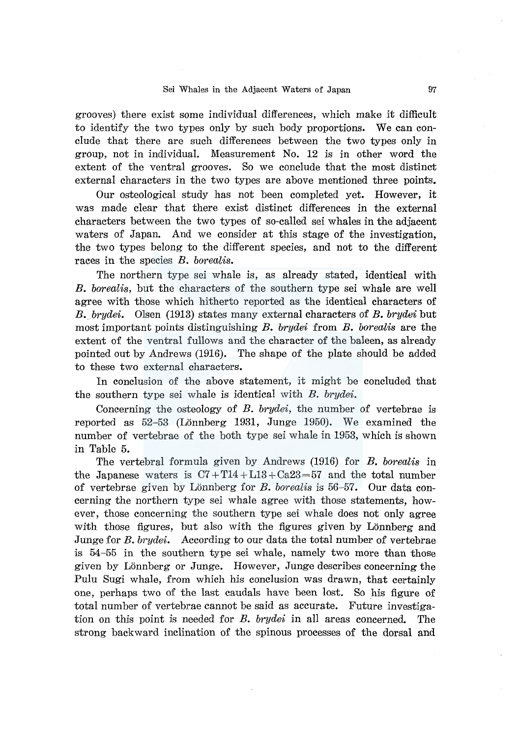grooves) there exist some individual differences, which make it difficult to identify the two types only by such body proportions. We can conclude that there are such differences between the two types only in group, not in individual. Measurement No. 12 is in other word the extent of the ventral grooves. So we conclude that the most distinct external characters in the two types are above mentioned three points.

Our osteological study has not been completed yet. However, it was made clear that there exist distinct differences in the external characters between the two types of so-called sei whales in the adjacent waters of Japan. And we consider at this stage of the investigation, the two types belong to the different species, and not to the different races in the species *B. borealis.* 

The northern type sei whale is, as already stated, identical with *B. borealis,* but the characters of the southern type sei whale are well agree with those which hitherto reported as the identical characters of *B. brydei.* Olsen (1913) states many external characters of *B. brydei* but most important points distinguishing *B. brydei* from *B. borealis* are the extent of the ventral fullows and the character of the baleen, as already pointed out by Andrews (1916). The shape of the plate should be added to these two external characters.

In conclusion of the above statement, it might be concluded that the southern type sei whale is identical with *B. brydei.* 

Concerning the osteology of *B. brydei,* the number of vertebrae is reported as 52-53 (Lönnberg 1931, Junge 1950). We examined the number of vertebrae of the both type sei whale in 1953, which is shown in Table 5.

The vertebral formula given by Andrews (1916) for *B. borealis* in the Japanese waters is  $C7 + T14 + L13 + Ca23 = 57$  and the total number of vertebrae given by Lonn berg for *B. borealis* is 56-57. Our data concerning the northern type sei whale agree with those statements, however, those concerning the southern type sei whale does not only agree with those figures, but also with the figures given by Lönnberg and Junge for *B. brydei.* According to our data the total number of vertebrae is 54-55 in the southern type sei whale, namely two more than those given by Lonnberg or Junge. However, Junge describes concerning the Pulu Sugi whale, from which his conclusion was drawn, that certainly one, perhaps two of the last caudals have been lost. So his figure of total number of vertebrae cannot be said as accurate. Future investigation on this point is needed for *B. brydei* in all areas concerned. The strong backward inclination of the spinous processes of the dorsal and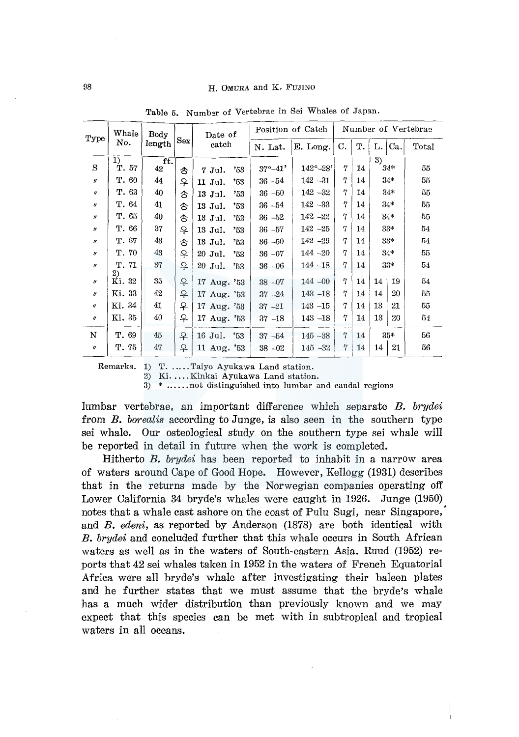| Type                       | Whale        | Body<br>Date of |     |             |              | Position of Catch |                            | Number of Vertebrae |    |                |       |       |
|----------------------------|--------------|-----------------|-----|-------------|--------------|-------------------|----------------------------|---------------------|----|----------------|-------|-------|
|                            | No.          | length          | Sex |             | catch        |                   | E. Long.                   | C.                  | т. | L.I            | Ca.   | Total |
|                            | 1)           | ft.             |     |             |              |                   |                            |                     |    | $\overline{3}$ |       |       |
| S                          | T. 57        | 42              | 含   | $7$ Jul.    | '53          | $37^{\circ}-41'$  | $142^{\circ} - 28^{\circ}$ | 7                   | 14 |                | 34*   | 55    |
| $^{\prime\prime}$          | T. 60        | 44              | 우   | 11 Jul.     | '53          | $36 - 54$         | $142 - 31$                 | 7                   | 14 |                | 34*   | 55    |
| $\eta$                     | T. 63        | 40              | 含   | 13 Jul.     | '53          | $36 - 50$         | $142 - 32$                 | 7                   | 14 |                | $34*$ | 55    |
| $\eta$                     | T. 64        | 41              | ൂ   | 13 Jul.     | '53          | $36 - 54$         | $142 - 33$                 | 7                   | 14 |                | $34*$ | 55    |
| $\boldsymbol{''}$          | T. 65        | 40              | €   | 13 Jul.     | '53          | $36 - 52$         | $142 - 22$                 | 7                   | 14 |                | $34*$ | 55    |
| $\eta$                     | T. 66        | 37              | 우   | 13 Jul.     | '53          | $36 - 57$         | $142 - 25$                 | 7                   | 14 |                | $33*$ | 54    |
| $\boldsymbol{H}$           | T. 67        | 43              | 含   | 13 Jul.     | $^{\circ}53$ | $36 - 50$         | $142 - 29$                 | 7                   | 14 |                | $33*$ | 54    |
| $\eta$                     | T. 70        | 43              | 우   | 20 Jul.     | '53          | $36 - 07$         | $144 - 20$                 | 7                   | 14 |                | $34*$ | 55    |
| $\boldsymbol{\eta}$        | T.71         | 37              | 우   | 20 Jul.     | "53"         | $36 - 06$         | $144 - 18$                 | 7                   | 14 |                | $33*$ | 54    |
| $\eta$                     | 2)<br>Ki. 32 | 35              | 우   | 17 Aug. '53 |              | $38 - 07$         | $144 - 00$                 | 7                   | 14 | 14             | 19    | 54    |
|                            |              |                 |     |             |              |                   |                            |                     |    |                |       |       |
| $^{\prime\prime}$          | Ki. 33       | 42              | 우   | 17 Aug. '53 |              | $37 - 24$         | $143 - 18$                 | 7                   | 14 | 14             | 20    | 55    |
| $\boldsymbol{\mathit{II}}$ | Ki. 34       | 41              | 우   | 17 Aug. '53 |              | $37 - 21$         | $143 - 15$                 | 7                   | 14 | 13             | 21    | 55    |
| $^{\prime\prime}$          | Ki. 35       | 40              | 우   | 17 Aug. '53 |              | $37 - 18$         | $143 - 18$                 | 7                   | 14 | 13             | 20    | 54    |
| N                          | T. 69        | 45              | ₽   | 16 Jul.     | 353          | $37 - 54$         | $145 - 38$                 | 7                   | 14 |                | $35*$ | 56    |
| $\pmb{\eta}$               | T. 75        | 47              | ₽   | 11 Aug. '53 |              | $38 - 02$         | $145 - 32$                 | 7                   | 14 | 14             | 21    | 56    |
|                            |              |                 |     |             |              |                   |                            |                     |    |                |       |       |

Table 5. Numbar of Vertebrae in Sei Whales of Japan.

Remarks. 1) T. ..... Taiyo Ayukawa Land station.

2) Ki. .... Kinkai Ayukawa Land station.

3) \* ...... not distinguished into lumbar and caudal regions

lumbar vertebrae, an important difference which separate *B. brydei*  from *B. borealis* according to Junge, is also seen in the southern type sei whale. Our osteological study on the southern type sei whale will be reported in detail in future when the work is completed.

Hitherto *B. brydei* has been reported to inhabit in a narrow area of waters around Cape of Good Hope. However, Kellogg (1931) describes that in the returns made by the Norwegian companies operating off Lower California 34 bryde's whales were caught in 1926. Junge (1950) notes that a whale cast ashore on the coast of Pulu Sugi, near Singapore, and *B. edeni,* as reported by Anderson (1878) are both identical with *B. brydei* and concluded further that this whale occurs in South African waters as well as in the waters of South-eastern Asia. Ruud (1952) reports that 42 sei whales taken in 1952 in the waters of French Equatorial Africa were all bryde's whale after investigating their baleen plates and he further states that we must assume that the bryde's whale has a much wider distribution than previously known and we may expect that this species can be met with in subtropical and tropical waters in all oceans.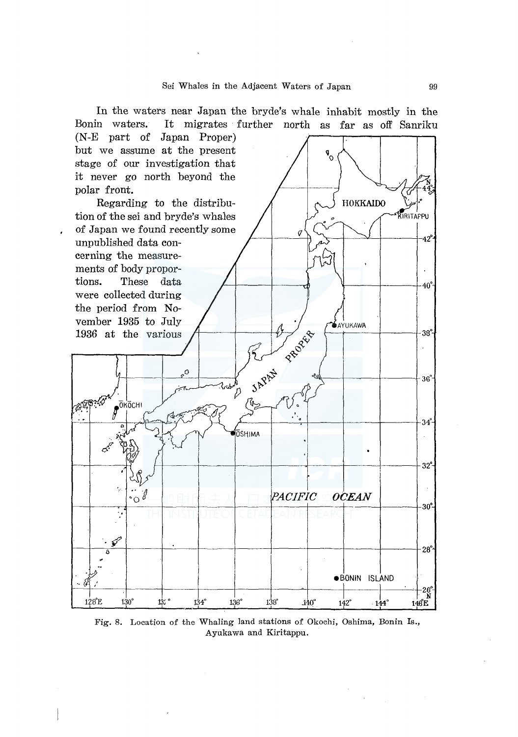

Fig. 8. Location of the Whaling land stations of Okochi, Oshima, Bonin Is., Ayukawa and Kiritappu.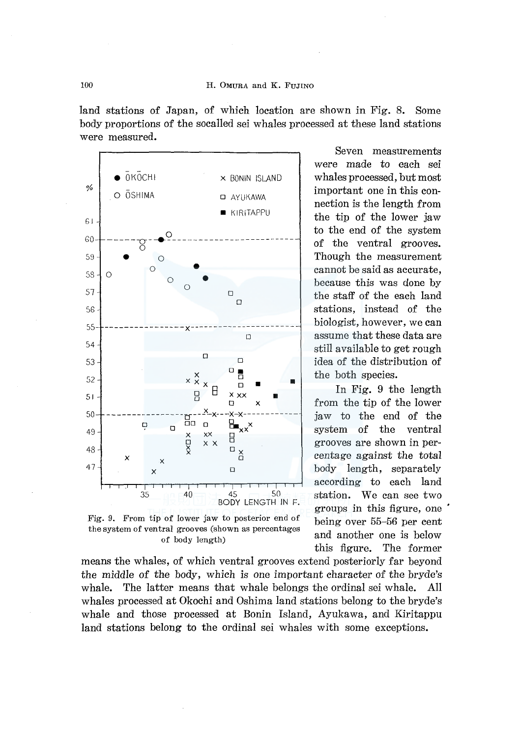land stations of Japan, of which location are shown in Fig. 8. Some body proportions of the socalled sei whales processed at these land stations were measured.



Fig. 9. From tip of lower jaw to posterior end of the system of ventral grooves (shown as percentages of body length)

means the whales, of which ventral grooves extend posteriorly far beyond the middle of the body, which is one important character of the bryde's whale. The latter means that whale belongs the ordinal sei whale. All whales processed at Okochi and Oshima land stations belong to the bryde's whale and those processed at Bonin Island, Ayukawa, and Kiritappu land stations belong to the ordinal sei whales with some exceptions.

Seven measurements were made to each sei whales processed, but most important one in this connection is the length from the tip of the lower jaw to the end of the system of the ventral grooves. Though the measurement cannot be said as accurate, because this was done by the staff of the each land stations, instead of the biologist, however, we can assume that these data are still available to get rough idea of the distribution of the both species.

In Fig. 9 the length from the tip of the lower jaw to the end of the system of the ventral grooves are shown in percentage against the total body length, separately according to each land station. We can see two groups in this figure, one being over 55-56 per cent and another one is below this figure. The former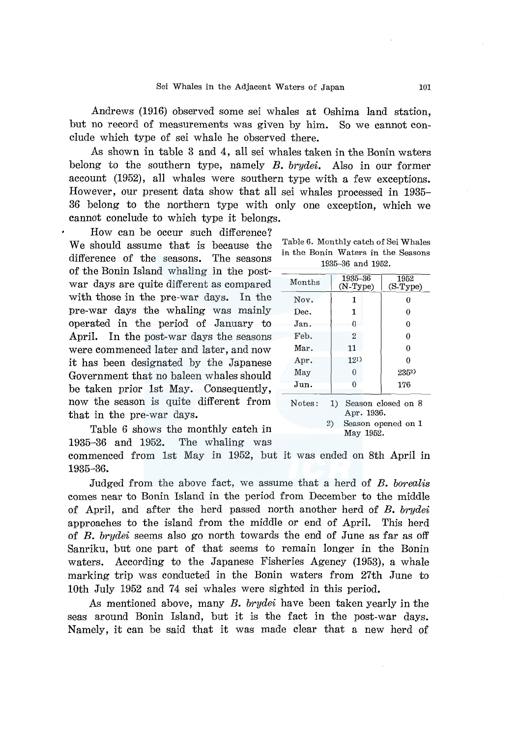Andrews (1916) observed some sei whales at Oshima land station, but no record of measurements was given by him. So we cannot conclude which type of sei whale he observed there.

As shown in table 3 and 4, all sei whales taken in the Bonin waters belong to the southern type, namely *B. brydei.* Also in our former account (1952), all whales were southern type with a few exceptions. However, our present data show that all sei whales processed in 1935- 36 belong to the northern type with only one exception, which we cannot conclude to which type it belongs.

How can be occur such difference? We should assume that is because the difference of the seasons. The seasons of the Bonin Island whaling in the postwar days are quite different as compared with those in the pre-war days. In the pre-war days the whaling was mainly operated in the period of January to April. In the post-war days the seasons were commenced later and later, and now it has been designated by the Japanese Government that no baleen whales should be taken prior lst May. Consequently, now the season is quite different from that in the pre-war days.

Table 6 shows the monthly catch in 1935-36 and 1952. The whaling was commenced from lst May in 1952, but it was ended on 8th April in

1935-36.

Judged from the above fact, we assume that a herd of *B. borealis*  comes near to Bonin Island in the period from December to the middle of April, and after the herd passed north another herd of *B. brydei*  approaches to the island from the middle or end of April. This herd of *B. brydei* seems also go north towards the end of June as far as off Sanriku, but one part of that seems to remain longer in the Bonin waters. According to the Japanese Fisheries Agency (1953), a whale marking trip was conducted in the Bonin waters from 27th June to

As mentioned above, many *B. brydei* have been taken yearly in the seas around Bonin Island, but it is the fact in the post-war days. Namely, it can be said that it was made clear that a new herd of

lOth July 1952 and 74 sei whales were sighted in this period.

|  |                   |  | Table 6. Monthly catch of Sei Whales |  |
|--|-------------------|--|--------------------------------------|--|
|  |                   |  | in the Bonin Waters in the Seasons   |  |
|  | 1935–36 and 1952. |  |                                      |  |

| Months | 1935-36<br>$(N-Type)$ | 1952<br>$(S-Type)$ |
|--------|-----------------------|--------------------|
| Nov.   | 1                     |                    |
| Dec.   | 1                     | 0                  |
| Jan.   | 0                     | 0                  |
| Feb.   | 2                     | 0                  |
| Mar.   | 11                    | 0                  |
| Apr.   | 121)                  | o                  |
| May    | 0                     | 2352)              |
| Jun.   | O                     | 176                |
| Notes: | 1)                    | Season closed on 8 |

Apr. 1936.

2) Season opened on 1 May 1952.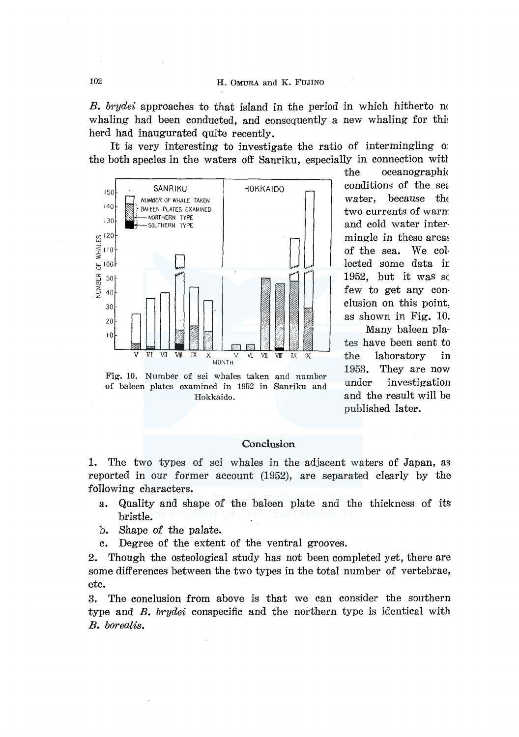*B. brydei* approaches to that island in the period in which hitherto no whaling had been conducted, and consequently a new whaling for this herd had inaugurated quite recently.

It is very interesting to investigate the ratio of intermingling  $\alpha$ the both species in the waters off Sanriku, especially in connection witl



of baleen plates examined in 1952 in Sanriku and Hokkaido.

the oceanographic conditions of the sea water, because the two currents of warn: and cold water inter· mingle in these areas of the sea. We col· lected some data ir 1952, but it was sc few to get any conclusion on this point, as shown in Fig. 10.

Many baleen plates have been sent to the laboratory in 1953. They are now under investigation and the result will be published later.

## **Conclusion**

1. The two types of sei whales in the adjacent waters of Japan, as reported in our former account (1952), are separated clearly by the following characters.

- a. Quality and shape of the baleen plate and the thickness of its bristle.
- b. Shape of the palate.
- c. Degree of the extent of the ventral grooves.

2. Though the osteological study has not been completed yet, there are some differences between the two types in the total number of vertebrae, etc.

3. The conclusion from above is that we can consider the southern type and B. *brydei* conspecific and the northern type is identical with B. *borealis.*